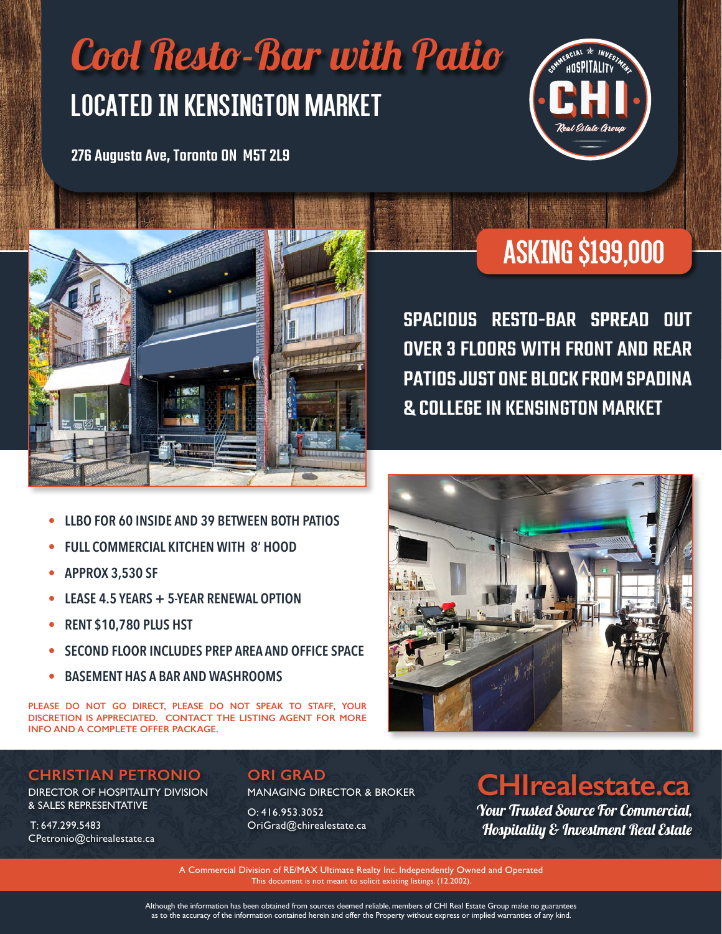# Located In Kensington Market Cool Resto-Bar with Patio

276 Augusta Ave, Toronto ON M5T 2L9





## Asking \$199,000

SPACIOUS RESTO-BAR SPREAD OUT OVER 3 FLOORS WITH FRONT AND REAR PATIOS JUST ONE BLOCK FROM SPADINA & COLLEGE IN KENSINGTON MARKET

- **• LLBO FOR 60 INSIDE AND 39 BETWEEN BOTH PATIOS**
- **• FULL COMMERCIAL KITCHEN WITH 8' HOOD**
- **• APPROX 3,530 SF**
- **• LEASE 4.5 YEARS + 5-YEAR RENEWAL OPTION**
- **• RENT \$10,780 PLUS HST**
- **• SECOND FLOOR INCLUDES PREP AREA AND OFFICE SPACE**
- **• BASEMENT HAS A BAR AND WASHROOMS**

**PLEASE DO NOT GO DIRECT, PLEASE DO NOT SPEAK TO STAFF, YOUR DISCRETION IS APPRECIATED. CONTACT THE LISTING AGENT FOR MORE INFO AND A COMPLETE OFFER PACKAGE.**

#### **CHRISTIAN PETRONIO**

DIRECTOR OF HOSPITALITY DIVISION & SALES REPRESENTATIVE

 T: 647.299.5483 CPetronio@chirealestate.ca

#### **ORI GRAD** MANAGING DIRECTOR & BROKER

O: 416.953.3052 OriGrad@chirealestate.ca

### **CHIrealestate.ca**

Your Trusted Source For Commercial, Hospitality & Investment Real Estate

A Commercial Division of RE/MAX Ultimate Realty Inc. Independently Owned and Operated This document is not meant to solicit existing listings. (12.2002).

Although the information has been obtained from sources deemed reliable, members of CHI Real Estate Group make no guarantees as to the accuracy of the information contained herein and offer the Property without express or implied warranties of any kind.